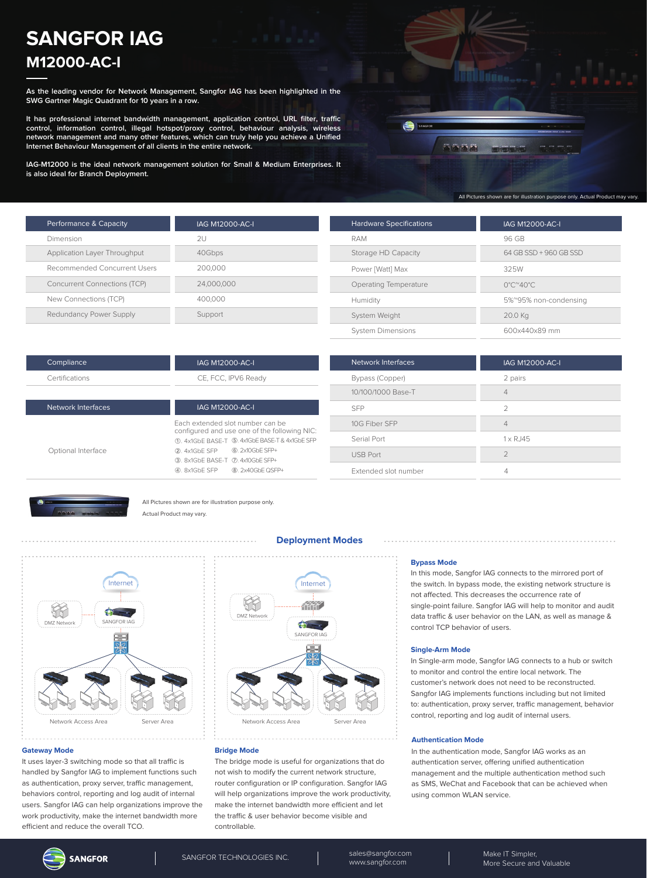# **SANGFOR IAG M12000-AC-I**

**As the leading vendor for Network Management, Sangfor IAG has been highlighted in the SWG Gartner Magic Quadrant for 10 years in a row.**

**It has professional internet bandwidth management, application control, URL filter, traffic control, information control, illegal hotspot/proxy control, behaviour analysis, wireless network management and many other features, which can truly help you achieve a Unified Internet Behaviour Management of all clients in the entire network.**

**IAG-M12000 is the ideal network management solution for Small & Medium Enterprises. It is also ideal for Branch Deployment.**

| SANGFOR |      |             | <b>Williams antwear startup access minester</b> |  |
|---------|------|-------------|-------------------------------------------------|--|
|         |      |             |                                                 |  |
|         | 5558 | <b>OIDD</b> | green<br><b>ATMA</b><br>ETHIO<br>AC-12000       |  |
|         |      |             |                                                 |  |
|         |      |             |                                                 |  |
|         |      |             |                                                 |  |
|         |      |             |                                                 |  |

| Performance & Capacity              | IAG M12000-AC-I |
|-------------------------------------|-----------------|
| Dimension                           | 2U              |
| Application Layer Throughput        | 40Gbps          |
| Recommended Concurrent Users        | 200,000         |
| <b>Concurrent Connections (TCP)</b> | 24,000,000      |
| New Connections (TCP)               | 400.000         |
| Redundancy Power Supply             | Support         |
|                                     |                 |

| <b>Hardware Specifications</b> | IAG M12000-AC-I                         |
|--------------------------------|-----------------------------------------|
| RAM                            | 96 GB                                   |
| Storage HD Capacity            | 64 GB SSD + 960 GB SSD                  |
| Power [Watt] Max               | 325W                                    |
| Operating Temperature          | $0^{\circ}$ C $^{\sim}$ 40 $^{\circ}$ C |
| Humidity                       | 5%~95% non-condensing                   |
| System Weight                  | 20.0 Kg                                 |
| <b>System Dimensions</b>       | 600x440x89 mm                           |

| IAG M12000-AC-I                                                                  | Network Interfaces |  |
|----------------------------------------------------------------------------------|--------------------|--|
| CE, FCC, IPV6 Ready                                                              | Bypass (Copper)    |  |
|                                                                                  | 10/100/1000 Base-T |  |
| <b>IAG M12000-AC-I</b>                                                           | <b>SFP</b>         |  |
| Fach extended slot number can be<br>configured and use one of the following NIC: | 10G Fiber SFP      |  |
| (1), 4x1GbE BASE-T (5). 4x1GbE BASE-T & 4x1GbE SFP                               | Serial Port        |  |
| 2. 4x1GbE SFP 6. 2x10GbE SFP+                                                    | <b>USB Port</b>    |  |
| 3. 8x1GbE BASE-T 2. 4x10GbE SFP+                                                 |                    |  |

| Network Interfaces   | IAG M12000-AC-I    |
|----------------------|--------------------|
| Bypass (Copper)      | 2 pairs            |
| 10/100/1000 Base-T   | $\overline{4}$     |
| <b>SFP</b>           | $\mathcal{P}$      |
| 10G Fiber SFP        | $\overline{4}$     |
| Serial Port          | $1 \times R$ . 145 |
| <b>USB Port</b>      | $\mathcal{P}$      |
| Extended slot number |                    |



Network Interfaces

Optional Interface

Compliance Certifications

> All Pictures shown are for illustration purpose only. Actual Product may vary.

④. 8x1GbE SFP

⑧. 2x40GbE QSFP+



#### **Gateway Mode**

It uses layer-3 switching mode so that all traffic is handled by Sangfor IAG to implement functions such as authentication, proxy server, traffic management, behaviors control, reporting and log audit of internal users. Sangfor IAG can help organizations improve the work productivity, make the internet bandwidth more efficient and reduce the overall TCO.

## **Deployment Modes**



#### **Bridge Mode**

The bridge mode is useful for organizations that do not wish to modify the current network structure, router configuration or IP configuration. Sangfor IAG will help organizations improve the work productivity, make the internet bandwidth more efficient and let the traffic & user behavior become visible and controllable.

#### **Bypass Mode**

In this mode, Sangfor IAG connects to the mirrored port of the switch. In bypass mode, the existing network structure is not affected. This decreases the occurrence rate of single-point failure. Sangfor IAG will help to monitor and audit data traffic & user behavior on the LAN, as well as manage & control TCP behavior of users.

#### **Single-Arm Mode**

In Single-arm mode, Sangfor IAG connects to a hub or switch to monitor and control the entire local network. The customer's network does not need to be reconstructed. Sangfor IAG implements functions including but not limited to: authentication, proxy server, traffic management, behavior control, reporting and log audit of internal users.

#### **Authentication Mode**

In the authentication mode, Sangfor IAG works as an authentication server, offering unified authentication management and the multiple authentication method such as SMS, WeChat and Facebook that can be achieved when using common WLAN service.

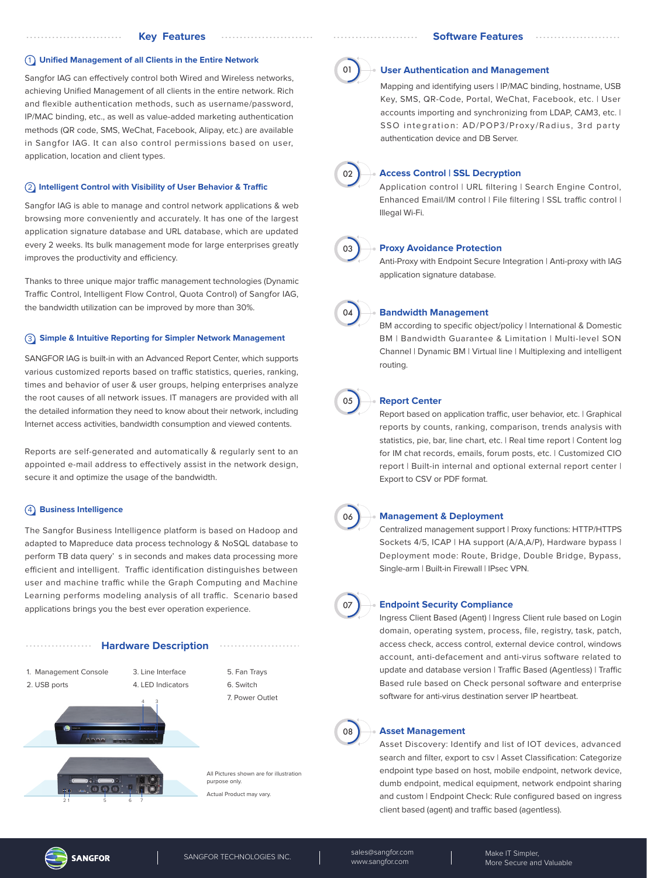#### 1 **Unified Management of all Clients in the Entire Network**

Sangfor IAG can effectively control both Wired and Wireless networks, achieving Unified Management of all clients in the entire network. Rich and flexible authentication methods, such as username/password, IP/MAC binding, etc., as well as value-added marketing authentication methods (QR code, SMS, WeChat, Facebook, Alipay, etc.) are available in Sangfor IAG. It can also control permissions based on user, application, location and client types.

#### **(2) Intelligent Control with Visibility of User Behavior & Traffic**

Sangfor IAG is able to manage and control network applications & web browsing more conveniently and accurately. It has one of the largest application signature database and URL database, which are updated every 2 weeks. Its bulk management mode for large enterprises greatly improves the productivity and efficiency.

Thanks to three unique major traffic management technologies (Dynamic Traffic Control, Intelligent Flow Control, Quota Control) of Sangfor IAG, the bandwidth utilization can be improved by more than 30%.

#### 3 **Simple & Intuitive Reporting for Simpler Network Management**

SANGFOR IAG is built-in with an Advanced Report Center, which supports various customized reports based on traffic statistics, queries, ranking, times and behavior of user & user groups, helping enterprises analyze the root causes of all network issues. IT managers are provided with all the detailed information they need to know about their network, including Internet access activities, bandwidth consumption and viewed contents.

Reports are self-generated and automatically & regularly sent to an appointed e-mail address to effectively assist in the network design, secure it and optimize the usage of the bandwidth.

# 4 **Business Intelligence**

. . . . . . . . . . . . . . . . . . .

The Sangfor Business Intelligence platform is based on Hadoop and adapted to Mapreduce data process technology & NoSQL database to perform TB data query' s in seconds and makes data processing more efficient and intelligent. Traffic identification distinguishes between user and machine traffic while the Graph Computing and Machine Learning performs modeling analysis of all traffic. Scenario based applications brings you the best ever operation experience.

#### **Hardware Description**



All Pictures shown are for illustration purpose only.

Actual Product may vary.



#### **User Authentication and Management**

Mapping and identifying users | IP/MAC binding, hostname, USB Key, SMS, QR-Code, Portal, WeChat, Facebook, etc. | User accounts importing and synchronizing from LDAP, CAM3, etc. I SSO integration: AD/POP3/Proxy/Radius, 3rd party authentication device and DB Server.



# **Access Control | SSL Decryption**

Application control | URL filtering | Search Engine Control, Enhanced Email/IM control | File filtering | SSL traffic control | Illegal Wi-Fi.



#### **Proxy Avoidance Protection**

Anti-Proxy with Endpoint Secure Integration | Anti-proxy with IAG application signature database.



#### **Bandwidth Management**

BM according to specific object/policy | International & Domestic BM | Bandwidth Guarantee & Limitation | Multi-level SON Channel | Dynamic BM | Virtual line | Multiplexing and intelligent routing.



# **Report Center**

Report based on application traffic, user behavior, etc. | Graphical reports by counts, ranking, comparison, trends analysis with statistics, pie, bar, line chart, etc. | Real time report | Content log for IM chat records, emails, forum posts, etc. | Customized CIO report | Built-in internal and optional external report center | Export to CSV or PDF format.



## **Management & Deployment**

Centralized management support | Proxy functions: HTTP/HTTPS Sockets 4/5, ICAP | HA support (A/A,A/P), Hardware bypass | Deployment mode: Route, Bridge, Double Bridge, Bypass, Single-arm | Built-in Firewall | IPsec VPN.



#### **Endpoint Security Compliance**

Ingress Client Based (Agent) | Ingress Client rule based on Login domain, operating system, process, file, registry, task, patch, access check, access control, external device control, windows account, anti-defacement and anti-virus software related to update and database version | Traffic Based (Agentless) | Traffic Based rule based on Check personal software and enterprise software for anti-virus destination server IP heartbeat.



#### **Asset Management**

Asset Discovery: Identify and list of IOT devices, advanced search and filter, export to csv | Asset Classification: Categorize endpoint type based on host, mobile endpoint, network device, dumb endpoint, medical equipment, network endpoint sharing and custom | Endpoint Check: Rule configured based on ingress client based (agent) and traffic based (agentless).